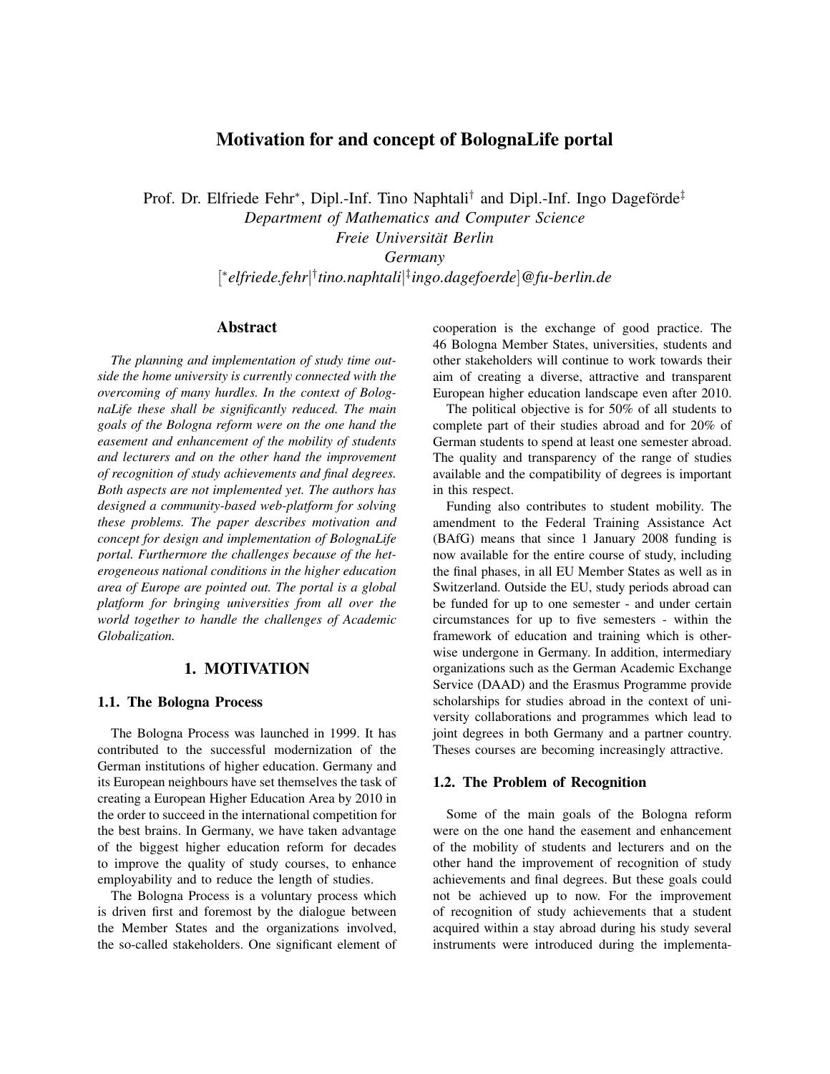# Motivation for and concept of BolognaLife portal

Prof. Dr. Elfriede Fehr<sup>∗</sup>, Dipl.-Inf. Tino Naphtali<sup>†</sup> and Dipl.-Inf. Ingo Dageförde<sup>‡</sup> *Department of Mathematics and Computer Science Freie Universitat Berlin ¨*

*Germany*

[ ∗ *elfriede.fehr*| † *tino.naphtali*| ‡ *ingo.dagefoerde*]*@fu-berlin.de*

## Abstract

*The planning and implementation of study time outside the home university is currently connected with the overcoming of many hurdles. In the context of BolognaLife these shall be significantly reduced. The main goals of the Bologna reform were on the one hand the easement and enhancement of the mobility of students and lecturers and on the other hand the improvement of recognition of study achievements and final degrees. Both aspects are not implemented yet. The authors has designed a community-based web-platform for solving these problems. The paper describes motivation and concept for design and implementation of BolognaLife portal. Furthermore the challenges because of the heterogeneous national conditions in the higher education area of Europe are pointed out. The portal is a global platform for bringing universities from all over the world together to handle the challenges of Academic Globalization.*

### 1. MOTIVATION

#### 1.1. The Bologna Process

The Bologna Process was launched in 1999. It has contributed to the successful modernization of the German institutions of higher education. Germany and its European neighbours have set themselves the task of creating a European Higher Education Area by 2010 in the order to succeed in the international competition for the best brains. In Germany, we have taken advantage of the biggest higher education reform for decades to improve the quality of study courses, to enhance employability and to reduce the length of studies.

The Bologna Process is a voluntary process which is driven first and foremost by the dialogue between the Member States and the organizations involved, the so-called stakeholders. One significant element of cooperation is the exchange of good practice. The 46 Bologna Member States, universities, students and other stakeholders will continue to work towards their aim of creating a diverse, attractive and transparent European higher education landscape even after 2010.

The political objective is for 50% of all students to complete part of their studies abroad and for 20% of German students to spend at least one semester abroad. The quality and transparency of the range of studies available and the compatibility of degrees is important in this respect.

Funding also contributes to student mobility. The amendment to the Federal Training Assistance Act (BAfG) means that since 1 January 2008 funding is now available for the entire course of study, including the final phases, in all EU Member States as well as in Switzerland. Outside the EU, study periods abroad can be funded for up to one semester - and under certain circumstances for up to five semesters - within the framework of education and training which is otherwise undergone in Germany. In addition, intermediary organizations such as the German Academic Exchange Service (DAAD) and the Erasmus Programme provide scholarships for studies abroad in the context of university collaborations and programmes which lead to joint degrees in both Germany and a partner country. Theses courses are becoming increasingly attractive.

#### 1.2. The Problem of Recognition

Some of the main goals of the Bologna reform were on the one hand the easement and enhancement of the mobility of students and lecturers and on the other hand the improvement of recognition of study achievements and final degrees. But these goals could not be achieved up to now. For the improvement of recognition of study achievements that a student acquired within a stay abroad during his study several instruments were introduced during the implementa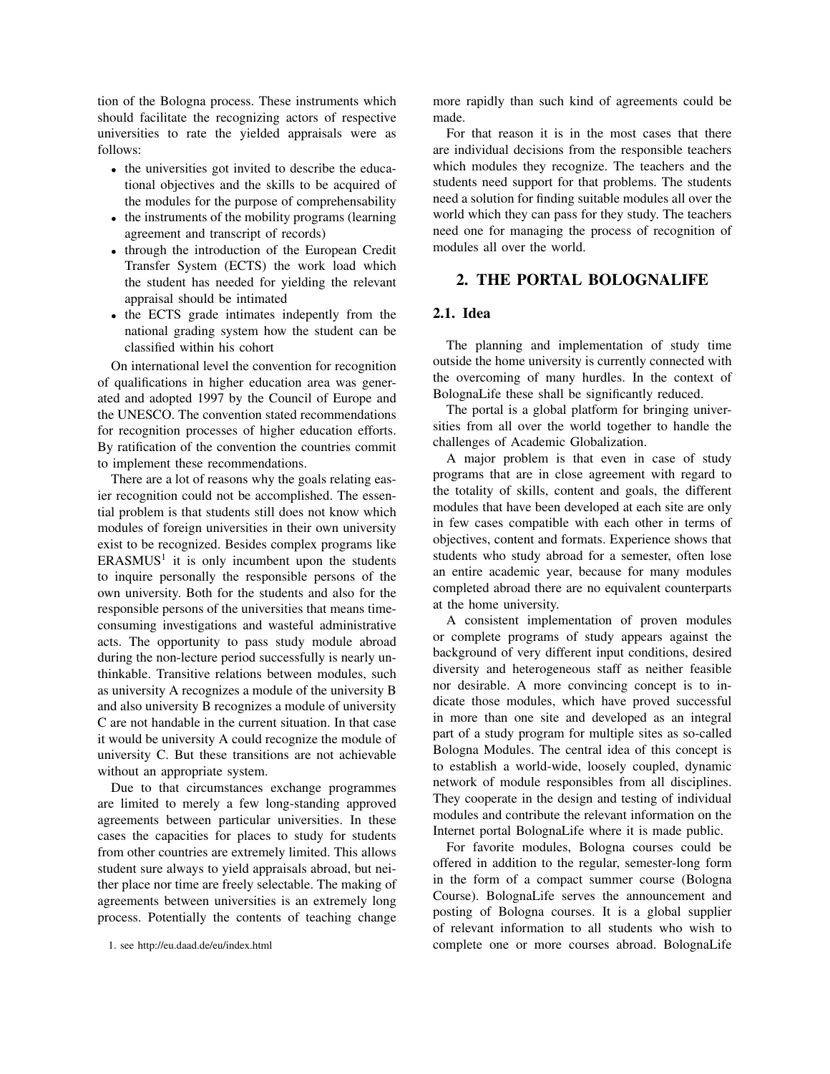tion of the Bologna process. These instruments which should facilitate the recognizing actors of respective universities to rate the yielded appraisals were as follows:

- the universities got invited to describe the educational objectives and the skills to be acquired of the modules for the purpose of comprehensability
- the instruments of the mobility programs (learning agreement and transcript of records)
- through the introduction of the European Credit Transfer System (ECTS) the work load which the student has needed for yielding the relevant appraisal should be intimated
- the ECTS grade intimates indepently from the national grading system how the student can be classified within his cohort

On international level the convention for recognition of qualifications in higher education area was generated and adopted 1997 by the Council of Europe and the UNESCO. The convention stated recommendations for recognition processes of higher education efforts. By ratification of the convention the countries commit to implement these recommendations.

There are a lot of reasons why the goals relating easier recognition could not be accomplished. The essential problem is that students still does not know which modules of foreign universities in their own university exist to be recognized. Besides complex programs like  $ERASMUS<sup>1</sup>$  it is only incumbent upon the students to inquire personally the responsible persons of the own university. Both for the students and also for the responsible persons of the universities that means timeconsuming investigations and wasteful administrative acts. The opportunity to pass study module abroad during the non-lecture period successfully is nearly unthinkable. Transitive relations between modules, such as university A recognizes a module of the university B and also university B recognizes a module of university C are not handable in the current situation. In that case it would be university A could recognize the module of university C. But these transitions are not achievable without an appropriate system.

Due to that circumstances exchange programmes are limited to merely a few long-standing approved agreements between particular universities. In these cases the capacities for places to study for students from other countries are extremely limited. This allows student sure always to yield appraisals abroad, but neither place nor time are freely selectable. The making of agreements between universities is an extremely long process. Potentially the contents of teaching change

more rapidly than such kind of agreements could be made.

For that reason it is in the most cases that there are individual decisions from the responsible teachers which modules they recognize. The teachers and the students need support for that problems. The students need a solution for finding suitable modules all over the world which they can pass for they study. The teachers need one for managing the process of recognition of modules all over the world.

## 2. THE PORTAL BOLOGNALIFE

## 2.1. Idea

The planning and implementation of study time outside the home university is currently connected with the overcoming of many hurdles. In the context of BolognaLife these shall be significantly reduced.

The portal is a global platform for bringing universities from all over the world together to handle the challenges of Academic Globalization.

A major problem is that even in case of study programs that are in close agreement with regard to the totality of skills, content and goals, the different modules that have been developed at each site are only in few cases compatible with each other in terms of objectives, content and formats. Experience shows that students who study abroad for a semester, often lose an entire academic year, because for many modules completed abroad there are no equivalent counterparts at the home university.

A consistent implementation of proven modules or complete programs of study appears against the background of very different input conditions, desired diversity and heterogeneous staff as neither feasible nor desirable. A more convincing concept is to indicate those modules, which have proved successful in more than one site and developed as an integral part of a study program for multiple sites as so-called Bologna Modules. The central idea of this concept is to establish a world-wide, loosely coupled, dynamic network of module responsibles from all disciplines. They cooperate in the design and testing of individual modules and contribute the relevant information on the Internet portal BolognaLife where it is made public.

For favorite modules, Bologna courses could be offered in addition to the regular, semester-long form in the form of a compact summer course (Bologna Course). BolognaLife serves the announcement and posting of Bologna courses. It is a global supplier of relevant information to all students who wish to complete one or more courses abroad. BolognaLife

<sup>1.</sup> see http://eu.daad.de/eu/index.html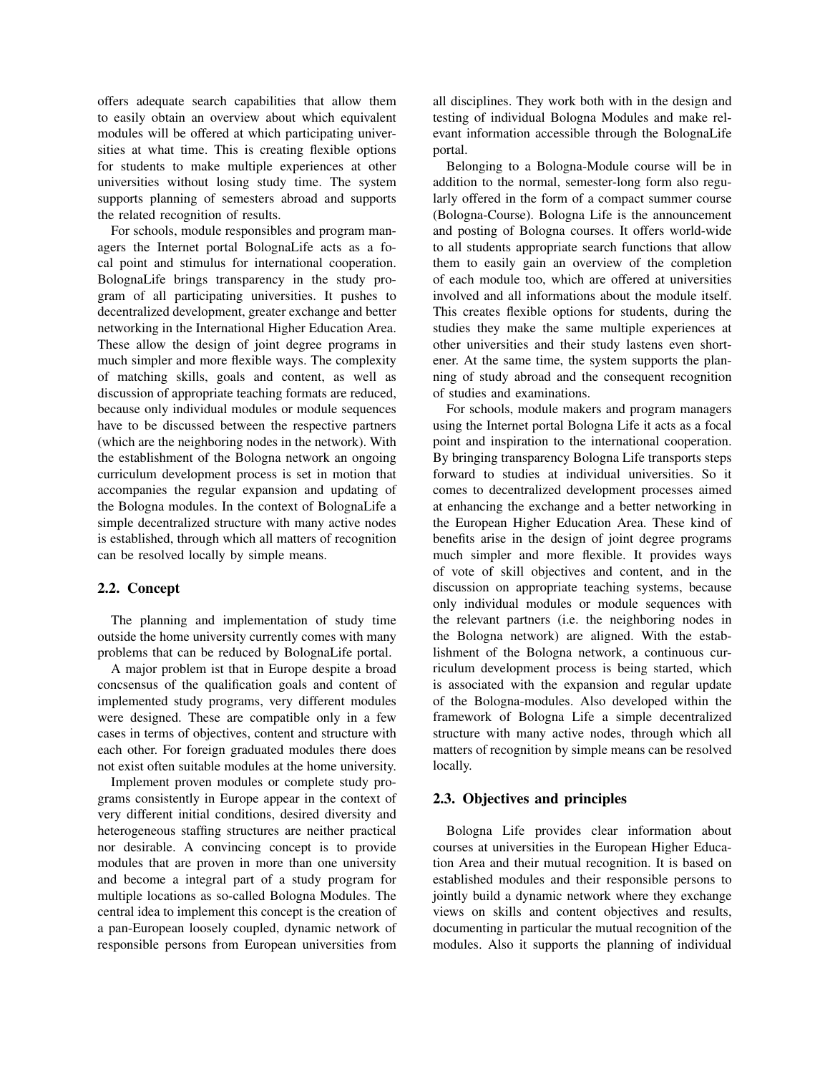offers adequate search capabilities that allow them to easily obtain an overview about which equivalent modules will be offered at which participating universities at what time. This is creating flexible options for students to make multiple experiences at other universities without losing study time. The system supports planning of semesters abroad and supports the related recognition of results.

For schools, module responsibles and program managers the Internet portal BolognaLife acts as a focal point and stimulus for international cooperation. BolognaLife brings transparency in the study program of all participating universities. It pushes to decentralized development, greater exchange and better networking in the International Higher Education Area. These allow the design of joint degree programs in much simpler and more flexible ways. The complexity of matching skills, goals and content, as well as discussion of appropriate teaching formats are reduced, because only individual modules or module sequences have to be discussed between the respective partners (which are the neighboring nodes in the network). With the establishment of the Bologna network an ongoing curriculum development process is set in motion that accompanies the regular expansion and updating of the Bologna modules. In the context of BolognaLife a simple decentralized structure with many active nodes is established, through which all matters of recognition can be resolved locally by simple means.

### 2.2. Concept

The planning and implementation of study time outside the home university currently comes with many problems that can be reduced by BolognaLife portal.

A major problem ist that in Europe despite a broad concsensus of the qualification goals and content of implemented study programs, very different modules were designed. These are compatible only in a few cases in terms of objectives, content and structure with each other. For foreign graduated modules there does not exist often suitable modules at the home university.

Implement proven modules or complete study programs consistently in Europe appear in the context of very different initial conditions, desired diversity and heterogeneous staffing structures are neither practical nor desirable. A convincing concept is to provide modules that are proven in more than one university and become a integral part of a study program for multiple locations as so-called Bologna Modules. The central idea to implement this concept is the creation of a pan-European loosely coupled, dynamic network of responsible persons from European universities from

all disciplines. They work both with in the design and testing of individual Bologna Modules and make relevant information accessible through the BolognaLife portal.

Belonging to a Bologna-Module course will be in addition to the normal, semester-long form also regularly offered in the form of a compact summer course (Bologna-Course). Bologna Life is the announcement and posting of Bologna courses. It offers world-wide to all students appropriate search functions that allow them to easily gain an overview of the completion of each module too, which are offered at universities involved and all informations about the module itself. This creates flexible options for students, during the studies they make the same multiple experiences at other universities and their study lastens even shortener. At the same time, the system supports the planning of study abroad and the consequent recognition of studies and examinations.

For schools, module makers and program managers using the Internet portal Bologna Life it acts as a focal point and inspiration to the international cooperation. By bringing transparency Bologna Life transports steps forward to studies at individual universities. So it comes to decentralized development processes aimed at enhancing the exchange and a better networking in the European Higher Education Area. These kind of benefits arise in the design of joint degree programs much simpler and more flexible. It provides ways of vote of skill objectives and content, and in the discussion on appropriate teaching systems, because only individual modules or module sequences with the relevant partners (i.e. the neighboring nodes in the Bologna network) are aligned. With the establishment of the Bologna network, a continuous curriculum development process is being started, which is associated with the expansion and regular update of the Bologna-modules. Also developed within the framework of Bologna Life a simple decentralized structure with many active nodes, through which all matters of recognition by simple means can be resolved locally.

## 2.3. Objectives and principles

Bologna Life provides clear information about courses at universities in the European Higher Education Area and their mutual recognition. It is based on established modules and their responsible persons to jointly build a dynamic network where they exchange views on skills and content objectives and results, documenting in particular the mutual recognition of the modules. Also it supports the planning of individual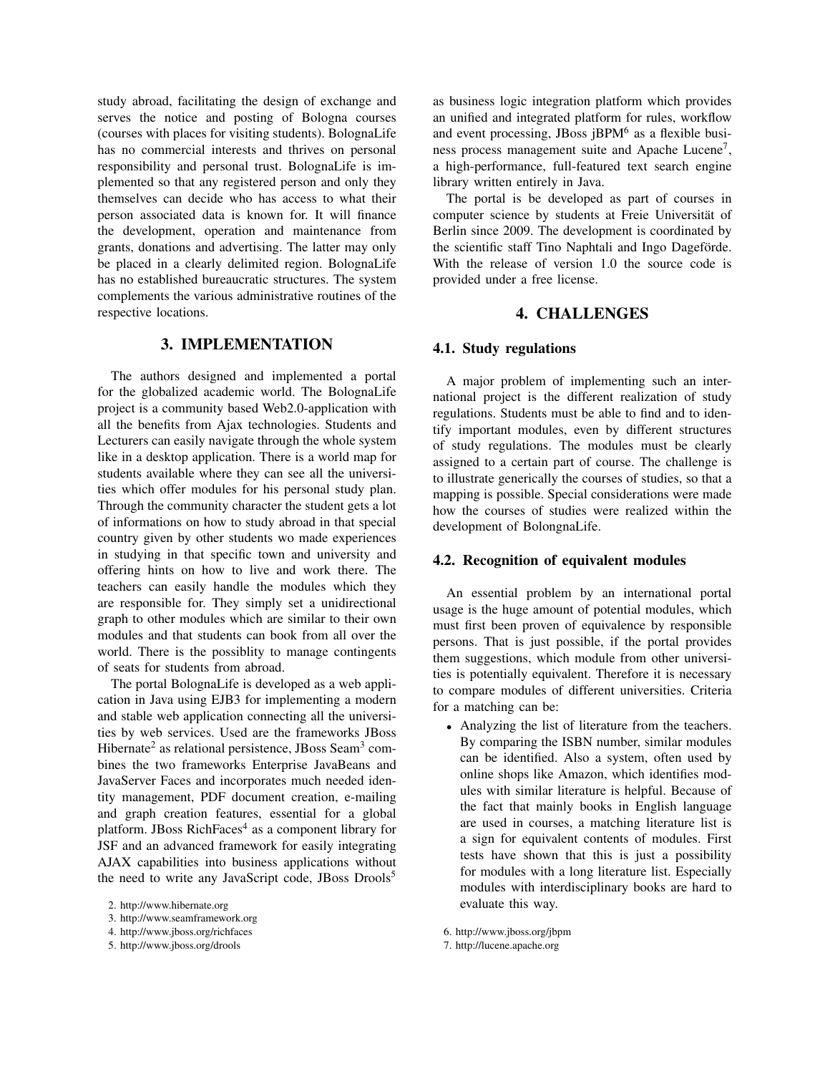study abroad, facilitating the design of exchange and serves the notice and posting of Bologna courses (courses with places for visiting students). BolognaLife has no commercial interests and thrives on personal responsibility and personal trust. BolognaLife is implemented so that any registered person and only they themselves can decide who has access to what their person associated data is known for. It will finance the development, operation and maintenance from grants, donations and advertising. The latter may only be placed in a clearly delimited region. BolognaLife has no established bureaucratic structures. The system complements the various administrative routines of the respective locations.

## 3. IMPLEMENTATION

The authors designed and implemented a portal for the globalized academic world. The BolognaLife project is a community based Web2.0-application with all the benefits from Ajax technologies. Students and Lecturers can easily navigate through the whole system like in a desktop application. There is a world map for students available where they can see all the universities which offer modules for his personal study plan. Through the community character the student gets a lot of informations on how to study abroad in that special country given by other students wo made experiences in studying in that specific town and university and offering hints on how to live and work there. The teachers can easily handle the modules which they are responsible for. They simply set a unidirectional graph to other modules which are similar to their own modules and that students can book from all over the world. There is the possiblity to manage contingents of seats for students from abroad.

The portal BolognaLife is developed as a web application in Java using EJB3 for implementing a modern and stable web application connecting all the universities by web services. Used are the frameworks JBoss Hibernate<sup>2</sup> as relational persistence, JBoss Seam<sup>3</sup> combines the two frameworks Enterprise JavaBeans and JavaServer Faces and incorporates much needed identity management, PDF document creation, e-mailing and graph creation features, essential for a global platform. JBoss RichFaces<sup>4</sup> as a component library for JSF and an advanced framework for easily integrating AJAX capabilities into business applications without the need to write any JavaScript code, JBoss Drools<sup>5</sup>

as business logic integration platform which provides an unified and integrated platform for rules, workflow and event processing, JBoss jBPM<sup>6</sup> as a flexible business process management suite and Apache Lucene<sup>7</sup>, a high-performance, full-featured text search engine library written entirely in Java.

The portal is be developed as part of courses in computer science by students at Freie Universität of Berlin since 2009. The development is coordinated by the scientific staff Tino Naphtali and Ingo Dageförde. With the release of version 1.0 the source code is provided under a free license.

## 4. CHALLENGES

#### 4.1. Study regulations

A major problem of implementing such an international project is the different realization of study regulations. Students must be able to find and to identify important modules, even by different structures of study regulations. The modules must be clearly assigned to a certain part of course. The challenge is to illustrate generically the courses of studies, so that a mapping is possible. Special considerations were made how the courses of studies were realized within the development of BolongnaLife.

## 4.2. Recognition of equivalent modules

An essential problem by an international portal usage is the huge amount of potential modules, which must first been proven of equivalence by responsible persons. That is just possible, if the portal provides them suggestions, which module from other universities is potentially equivalent. Therefore it is necessary to compare modules of different universities. Criteria for a matching can be:

• Analyzing the list of literature from the teachers. By comparing the ISBN number, similar modules can be identified. Also a system, often used by online shops like Amazon, which identifies modules with similar literature is helpful. Because of the fact that mainly books in English language are used in courses, a matching literature list is a sign for equivalent contents of modules. First tests have shown that this is just a possibility for modules with a long literature list. Especially modules with interdisciplinary books are hard to evaluate this way.

<sup>2.</sup> http://www.hibernate.org

<sup>3.</sup> http://www.seamframework.org

<sup>4.</sup> http://www.jboss.org/richfaces

<sup>5.</sup> http://www.jboss.org/drools

<sup>6.</sup> http://www.jboss.org/jbpm

<sup>7.</sup> http://lucene.apache.org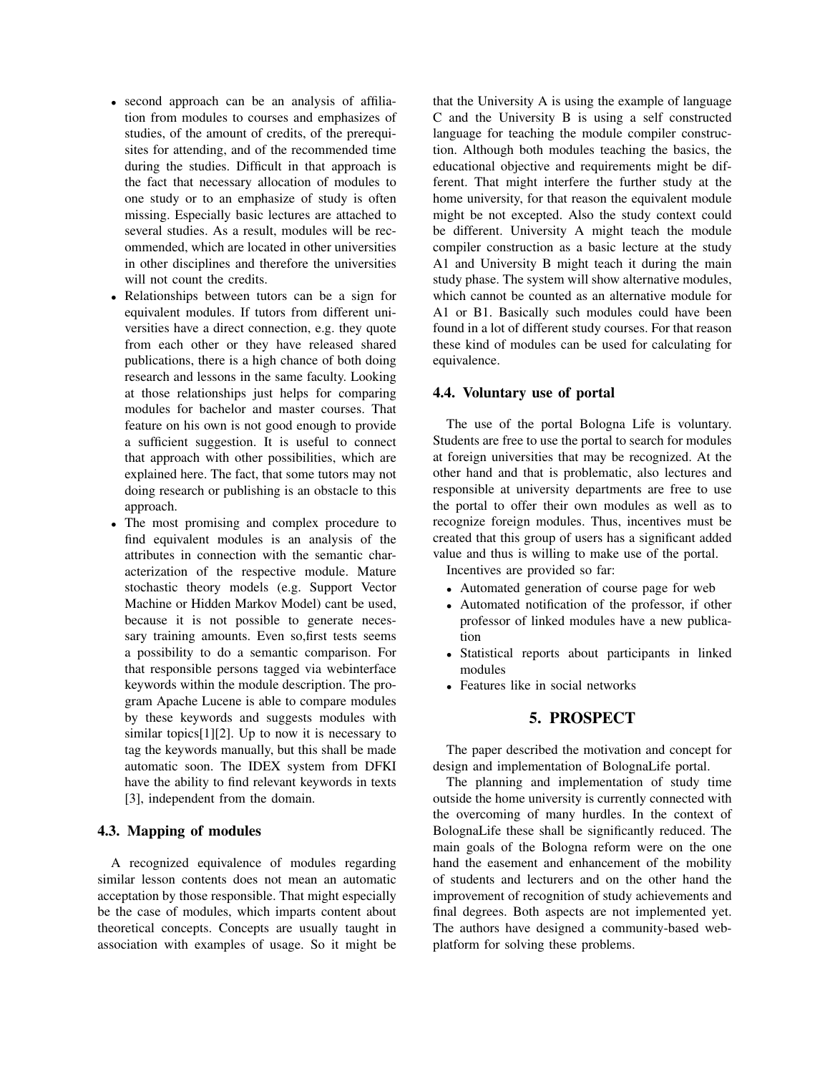- second approach can be an analysis of affiliation from modules to courses and emphasizes of studies, of the amount of credits, of the prerequisites for attending, and of the recommended time during the studies. Difficult in that approach is the fact that necessary allocation of modules to one study or to an emphasize of study is often missing. Especially basic lectures are attached to several studies. As a result, modules will be recommended, which are located in other universities in other disciplines and therefore the universities will not count the credits.
- Relationships between tutors can be a sign for equivalent modules. If tutors from different universities have a direct connection, e.g. they quote from each other or they have released shared publications, there is a high chance of both doing research and lessons in the same faculty. Looking at those relationships just helps for comparing modules for bachelor and master courses. That feature on his own is not good enough to provide a sufficient suggestion. It is useful to connect that approach with other possibilities, which are explained here. The fact, that some tutors may not doing research or publishing is an obstacle to this approach.
- The most promising and complex procedure to find equivalent modules is an analysis of the attributes in connection with the semantic characterization of the respective module. Mature stochastic theory models (e.g. Support Vector Machine or Hidden Markov Model) cant be used, because it is not possible to generate necessary training amounts. Even so,first tests seems a possibility to do a semantic comparison. For that responsible persons tagged via webinterface keywords within the module description. The program Apache Lucene is able to compare modules by these keywords and suggests modules with similar topics[1][2]. Up to now it is necessary to tag the keywords manually, but this shall be made automatic soon. The IDEX system from DFKI have the ability to find relevant keywords in texts [3], independent from the domain.

## 4.3. Mapping of modules

A recognized equivalence of modules regarding similar lesson contents does not mean an automatic acceptation by those responsible. That might especially be the case of modules, which imparts content about theoretical concepts. Concepts are usually taught in association with examples of usage. So it might be that the University A is using the example of language C and the University B is using a self constructed language for teaching the module compiler construction. Although both modules teaching the basics, the educational objective and requirements might be different. That might interfere the further study at the home university, for that reason the equivalent module might be not excepted. Also the study context could be different. University A might teach the module compiler construction as a basic lecture at the study A1 and University B might teach it during the main study phase. The system will show alternative modules, which cannot be counted as an alternative module for A1 or B1. Basically such modules could have been found in a lot of different study courses. For that reason these kind of modules can be used for calculating for equivalence.

#### 4.4. Voluntary use of portal

The use of the portal Bologna Life is voluntary. Students are free to use the portal to search for modules at foreign universities that may be recognized. At the other hand and that is problematic, also lectures and responsible at university departments are free to use the portal to offer their own modules as well as to recognize foreign modules. Thus, incentives must be created that this group of users has a significant added value and thus is willing to make use of the portal.

Incentives are provided so far:

- Automated generation of course page for web
- Automated notification of the professor, if other professor of linked modules have a new publication
- Statistical reports about participants in linked modules
- Features like in social networks

## 5. PROSPECT

The paper described the motivation and concept for design and implementation of BolognaLife portal.

The planning and implementation of study time outside the home university is currently connected with the overcoming of many hurdles. In the context of BolognaLife these shall be significantly reduced. The main goals of the Bologna reform were on the one hand the easement and enhancement of the mobility of students and lecturers and on the other hand the improvement of recognition of study achievements and final degrees. Both aspects are not implemented yet. The authors have designed a community-based webplatform for solving these problems.